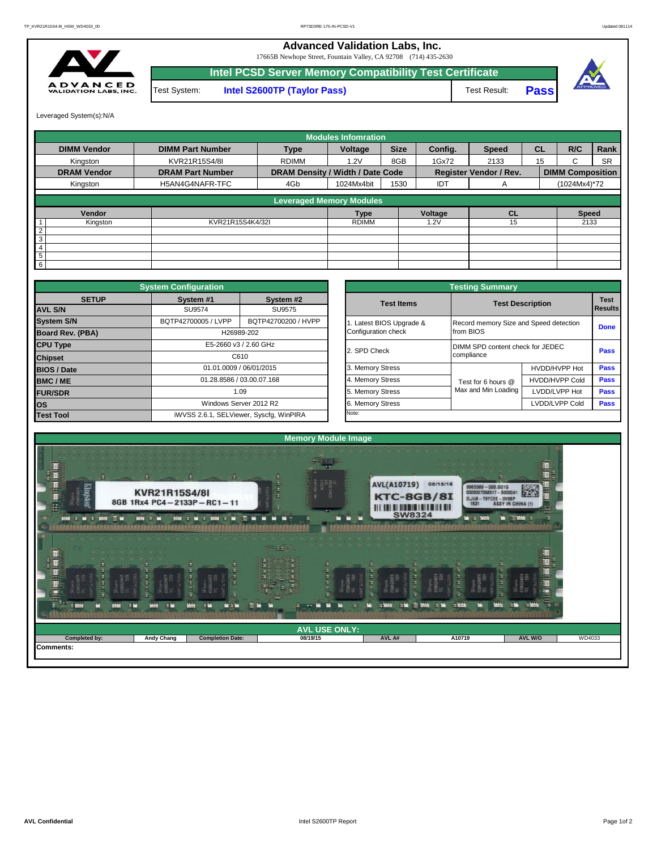**Advanced Validation Labs, Inc.** 

17665B Newhope Street, Fountain Valley, CA 92708 (714) 435-2630



Leveraged System(s):N/A

Test System: **Intel S2600TP (Taylor Pass)** Test Result: **Intel PCSD Server Memory Compatibility Test Certificate Pass**



|                    |                         |                                  | <b>Modules Infomration</b> |             |         |                               |           |                         |           |
|--------------------|-------------------------|----------------------------------|----------------------------|-------------|---------|-------------------------------|-----------|-------------------------|-----------|
| <b>DIMM Vendor</b> | <b>DIMM Part Number</b> | <b>Type</b>                      | Voltage                    | <b>Size</b> | Confia. | <b>Speed</b>                  | <b>CL</b> | R/C                     | Rank      |
| Kingston           | KVR21R15S4/8I           | <b>RDIMM</b>                     | 1.2V                       | 8GB         | 1Gx72   | 2133                          | 15        | C                       | <b>SR</b> |
| <b>DRAM Vendor</b> | <b>DRAM Part Number</b> | DRAM Density / Width / Date Code |                            |             |         | <b>Register Vendor / Rev.</b> |           | <b>DIMM Composition</b> |           |
| Kingston           | H5AN4G4NAFR-TFC<br>4Gb  |                                  |                            | 1530        | IDT     | A                             |           | (1024Mx4)*72            |           |
|                    |                         | <b>Leveraged Memory Modules</b>  |                            |             |         |                               |           |                         |           |
|                    |                         |                                  |                            |             |         |                               |           |                         |           |
| Vendor             |                         |                                  | Type                       |             | Voltage | <b>CL</b>                     |           | <b>Speed</b>            |           |
| Kingston           | KVR21R15S4K4/32I        |                                  | <b>RDIMM</b>               |             | 1.2V    | 15                            |           | 2133                    |           |
| $\overline{2}$     |                         |                                  |                            |             |         |                               |           |                         |           |
| $\mathbf{3}$       |                         |                                  |                            |             |         |                               |           |                         |           |
| $\overline{4}$     |                         |                                  |                            |             |         |                               |           |                         |           |
| $5\overline{5}$    |                         |                                  |                            |             |         |                               |           |                         |           |
| 6                  |                         |                                  |                            |             |         |                               |           |                         |           |

|                                          | <b>System Configuration</b> |                                         |                     | <b>Testing Summary</b> |                                        |                                  |             |  |  |  |  |
|------------------------------------------|-----------------------------|-----------------------------------------|---------------------|------------------------|----------------------------------------|----------------------------------|-------------|--|--|--|--|
| <b>SETUP</b>                             | System #1                   | System #2                               |                     | <b>Test Items</b>      |                                        | <b>Test Description</b>          |             |  |  |  |  |
| <b>AVL S/N</b>                           | SU9574                      | SU9575                                  |                     |                        |                                        | Results                          |             |  |  |  |  |
| <b>System S/N</b>                        | BQTP42700005 / LVPP         | BQTP42700200 / HVPP                     |                     | Latest BIOS Upgrade &  | Record memory Size and Speed detection |                                  | <b>Done</b> |  |  |  |  |
| <b>Board Rev. (PBA)</b><br>H26989-202    |                             |                                         | Configuration check | from BIOS              |                                        |                                  |             |  |  |  |  |
| <b>CPU Type</b><br>E5-2660 v3 / 2.60 GHz |                             |                                         |                     | 2. SPD Check           |                                        | DIMM SPD content check for JEDEC |             |  |  |  |  |
| C610<br><b>Chipset</b>                   |                             |                                         |                     |                        | compliance                             |                                  | <b>Pass</b> |  |  |  |  |
| <b>BIOS / Date</b>                       | 01.01.0009 / 06/01/2015     |                                         |                     | 3. Memory Stress       |                                        | HVDD/HVPP Hot                    | <b>Pass</b> |  |  |  |  |
| <b>BMC/ME</b>                            |                             | 01.28.8586 / 03.00.07.168               |                     | 4. Memory Stress       | Test for 6 hours @                     | <b>HVDD/HVPP Cold</b>            | Pass        |  |  |  |  |
| <b>FUR/SDR</b>                           |                             | 1.09                                    |                     | 5. Memory Stress       | Max and Min Loading                    | LVDD/LVPP Hot                    | <b>Pass</b> |  |  |  |  |
| <b>los</b>                               |                             | Windows Server 2012 R2                  |                     | 6. Memory Stress       |                                        | LVDD/LVPP Cold                   | Pass        |  |  |  |  |
| <b>Test Tool</b>                         |                             | iWVSS 2.6.1, SELViewer, Syscfg, WinPIRA |                     | Note:                  |                                        |                                  |             |  |  |  |  |

|              | <b>System Configuration</b> |                                         |                       | <b>Testing Summary</b>                 |                       |                |  |  |  |  |
|--------------|-----------------------------|-----------------------------------------|-----------------------|----------------------------------------|-----------------------|----------------|--|--|--|--|
| <b>SETUP</b> | System #1                   | System #2                               | <b>Test Items</b>     | <b>Test Description</b>                |                       |                |  |  |  |  |
|              | SU9574                      | SU9575                                  |                       |                                        |                       | <b>Results</b> |  |  |  |  |
|              | BQTP42700005 / LVPP         | BQTP42700200 / HVPP                     | Latest BIOS Upgrade & | Record memory Size and Speed detection |                       |                |  |  |  |  |
| PBA)         |                             | H26989-202                              | Configuration check   | from BIOS                              |                       | <b>Done</b>    |  |  |  |  |
|              |                             | E5-2660 v3 / 2.60 GHz                   | 2. SPD Check          | DIMM SPD content check for JEDEC       |                       | Pass           |  |  |  |  |
|              |                             | C610                                    |                       | compliance                             |                       |                |  |  |  |  |
|              |                             | 01.01.0009 / 06/01/2015                 | 3. Memory Stress      |                                        | HVDD/HVPP Hot         | Pass           |  |  |  |  |
|              |                             | 01.28.8586 / 03.00.07.168               | 4. Memory Stress      | Test for 6 hours @                     | <b>HVDD/HVPP Cold</b> | Pass           |  |  |  |  |
|              |                             | 1.09                                    | 5. Memory Stress      | Max and Min Loading                    | LVDD/LVPP Hot         | <b>Pass</b>    |  |  |  |  |
|              |                             | Windows Server 2012 R2                  | 6. Memory Stress      |                                        | LVDD/LVPP Cold        | <b>Pass</b>    |  |  |  |  |
|              |                             | iWVSS 2.6.1, SELViewer, Syscfg, WinPIRA | Note:                 |                                        |                       |                |  |  |  |  |